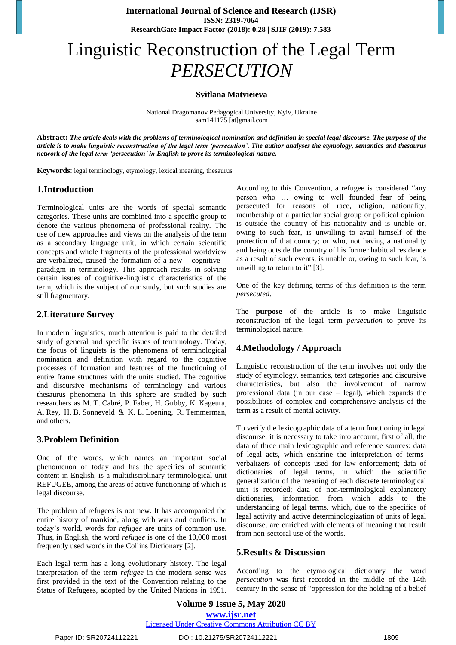# Linguistic Reconstruction of the Legal Term *PERSECUTION*

**Svitlana Matvieieva**

National Dragomanov Pedagogical University, Kyiv, Ukraine sam141175 [at]gmail.com

**Abstract:** *The article deals with the problems of terminological nomination and definition in special legal discourse. The purpose of the article is to make linguistic reconstruction of the legal term 'persecution'. The author analyses the etymology, semantics and thesaurus network of the legal term 'persecution' in English to prove its terminological nature.*

**Keywords**: legal terminology, etymology, lexical meaning, thesaurus

# **1.Introduction**

Terminological units are the words of special semantic categories. These units are combined into a specific group to denote the various phenomena of professional reality. The use of new approaches and views on the analysis of the term as a secondary language unit, in which certain scientific concepts and whole fragments of the professional worldview are verbalized, caused the formation of a new – cognitive – paradigm in terminology. This approach results in solving certain issues of cognitive-linguistic characteristics of the term, which is the subject of our study, but such studies are still fragmentary.

# **2.Literature Survey**

In modern linguistics, much attention is paid to the detailed study of general and specific issues of terminology. Today, the focus of linguists is the phenomena of terminological nomination and definition with regard to the cognitive processes of formation and features of the functioning of entire frame structures with the units studied. The cognitive and discursive mechanisms of terminology and various thesaurus phenomena in this sphere are studied by such researchers as M. T. Cabré, P. Faber, H. Gubby, K. Kageura, A. Rey, H. B. Sonneveld & K. L. Loening, R. Temmerman, and others.

# **3.Problem Definition**

One of the words, which names an important social phenomenon of today and has the specifics of semantic content in English, is a multidisciplinary terminological unit REFUGEE, among the areas of active functioning of which is legal discourse.

The problem of refugees is not new. It has accompanied the entire history of mankind, along with wars and conflicts. In today's world, words for *refugee* are units of common use. Thus, in English, the word *refugee* is one of the 10,000 most frequently used words in the Collins Dictionary [2].

Each legal term has a long evolutionary history. The legal interpretation of the term *refugee* in the modern sense was first provided in the text of the Convention relating to the Status of Refugees, adopted by the United Nations in 1951. According to this Convention, a refugee is considered "any person who … owing to well founded fear of being persecuted for reasons of race, religion, nationality, membership of a particular social group or political opinion, is outside the country of his nationality and is unable or, owing to such fear, is unwilling to avail himself of the protection of that country; or who, not having a nationality and being outside the country of his former habitual residence as a result of such events, is unable or, owing to such fear, is unwilling to return to it" [3].

One of the key defining terms of this definition is the term *persecuted*.

The **purpose** of the article is to make linguistic reconstruction of the legal term *persecution* to prove its terminological nature.

# **4.Methodology / Approach**

Linguistic reconstruction of the term involves not only the study of etymology, semantics, text categories and discursive characteristics, but also the involvement of narrow professional data (in our case – legal), which expands the possibilities of complex and comprehensive analysis of the term as a result of mental activity.

To verify the lexicographic data of a term functioning in legal discourse, it is necessary to take into account, first of all, the data of three main lexicographic and reference sources: data of legal acts, which enshrine the interpretation of termsverbalizers of concepts used for law enforcement; data of dictionaries of legal terms, in which the scientific generalization of the meaning of each discrete terminological unit is recorded; data of non-terminological explanatory dictionaries, information from which adds to the understanding of legal terms, which, due to the specifics of legal activity and active determinologization of units of legal discourse, are enriched with elements of meaning that result from non-sectoral use of the words.

# **5.Results & Discussion**

According to the etymological dictionary the word *persecution* was first recorded in the middle of the 14th century in the sense of "oppression for the holding of a belief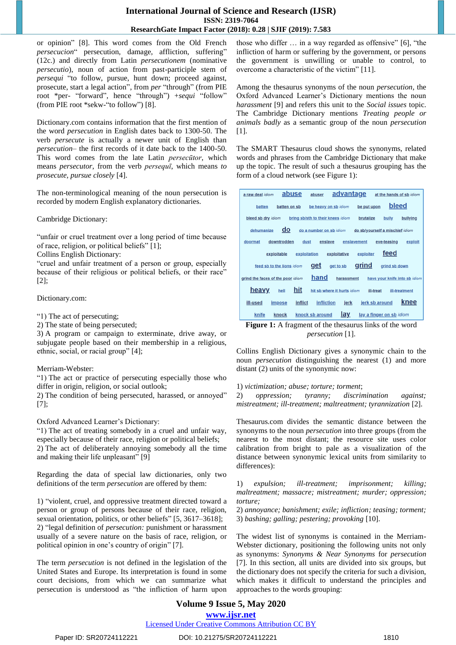### **International Journal of Science and Research (IJSR) ISSN: 2319-7064 ResearchGate Impact Factor (2018): 0.28 | SJIF (2019): 7.583**

or opinion" [8]. This word comes from the Old French *persecucion*" persecution, damage, affliction, suffering" (12c.) and directly from Latin *persecutionem* (nominative *persecutio*), noun of action from past-participle stem of *persequi* "to follow, pursue, hunt down; proceed against, prosecute, start a legal action", from *per* "through" (from PIE root \*per- "forward", hence "through") +*sequi* "follow" (from PIE root \*sekw-"to follow") [8].

Dictionary.com contains information that the first mention of the word *persecution* in English dates back to 1300-50. The verb *persecute* is actually a newer unit of English than *persecution*– the first records of it date back to the 1400-50. This word comes from the late Latin *persecūtor*, which means *persecutor*, from the verb *persequī*, which means *to prosecute, pursue closely* [4].

The non-terminological meaning of the noun persecution is recorded by modern English explanatory dictionaries.

Cambridge Dictionary:

"unfair or cruel treatment over a long period of time because of race, religion, or political beliefs" [1];

Collins English Dictionary:

"cruel and unfair treatment of a person or group, especially because of their religious or political beliefs, or their race" [2];

Dictionary.com:

"1) The act of persecuting;

2) The state of being persecuted;

3) A program or campaign to exterminate, drive away, or subjugate people based on their membership in a religious, ethnic, social, or racial group" [4];

#### Merriam-Webster:

"1) The act or practice of persecuting especially those who differ in origin, religion, or social outlook;

2) The condition of being persecuted, harassed, or annoyed" [7];

Oxford Advanced Learner's Dictionary:

"1) The act of treating somebody in a cruel and unfair way, especially because of their race, religion or political beliefs; 2) The act of deliberately annoying somebody all the time and making their life unpleasant" [9]

Regarding the data of special law dictionaries, only two definitions of the term *persecution* are offered by them:

1) "violent, cruel, and oppressive treatment directed toward a person or group of persons because of their race, religion, sexual orientation, politics, or other beliefs" [5, 3617–3618]; 2) "legal definition of *persecution:* punishment or harassment usually of a severe nature on the basis of race, religion, or political opinion in one's country of origin" [7].

The term *persecution* is not defined in the legislation of the United States and Europe. Its interpretation is found in some court decisions, from which we can summarize what persecution is understood as "the infliction of harm upon those who differ … in a way regarded as offensive" [6], "the infliction of harm or suffering by the government, or persons the government is unwilling or unable to control, to overcome a characteristic of the victim" [11].

Among the thesaurus synonyms of the noun *persecution*, the Oxford Advanced Learner's Dictionary mentions the noun *harassment* [9] and refers this unit to the *Social issues* topic. The Cambridge Dictionary mentions *Treating people or animals badly* as a semantic group of the noun *persecution* [1].

The SMART Thesaurus cloud shows the synonyms, related words and phrases from the Cambridge Dictionary that make up the topic. The result of such a thesaurus grouping has the form of a cloud network (see Figure 1):

| a raw deal idiom                                                                                    | abuse               | abuser                            | advantage              | at the hands of sb idiom |
|-----------------------------------------------------------------------------------------------------|---------------------|-----------------------------------|------------------------|--------------------------|
| batten                                                                                              | batten on sb        | be heavy on sb idiom              | be put upon            | bleed                    |
| bleed sb dry idiom                                                                                  |                     | bring sb/sth to their knees idiom | brutalize              | bully<br>bullying        |
| $\overline{\mathbf{d}}$<br>dehumanize<br>do a number on sb idiom<br>do sb/yourself a mischief idiom |                     |                                   |                        |                          |
| doormat                                                                                             | downtrodden<br>dust | enslave                           | enslavement            | eve-teasing<br>exploit   |
| feed<br>exploitative<br>exploitation<br>exploiter<br>exploitable                                    |                     |                                   |                        |                          |
| grind<br>qet<br>get to sb<br>grind sb down<br>feed sb to the lions idiom                            |                     |                                   |                        |                          |
| hand<br>grind the faces of the poor idiom<br>harassment<br>have your knife into sb idiom            |                     |                                   |                        |                          |
| heavy<br>hit<br>hell<br>hit sb where it hurts idiom<br>ill-treat<br>ill-treatment                   |                     |                                   |                        |                          |
| ill-used<br><i>impose</i>                                                                           | inflict             | <b>infliction</b>                 | jerk sb around<br>jerk | knee                     |
| <u>lay</u><br>knock sb around<br>lay a finger on sb idiom<br>knife<br>knock                         |                     |                                   |                        |                          |

**Figure 1:** A fragment of the thesaurus links of the word *persecution* [1].

Collins English Dictionary gives a synonymic chain to the noun *persecution* distinguishing the nearest (1) and more distant (2) units of the synonymic now:

1) *victimization; abuse; torture; torment*; 2) *oppression; tyranny; discrimination against; mistreatment; ill-treatment; maltreatment; tyrannization* [2].

Thesaurus.com divides the semantic distance between the synonyms to the noun *persecution* into three groups (from the nearest to the most distant; the resource site uses color calibration from bright to pale as a visualization of the distance between synonymic lexical units from similarity to differences):

1) *expulsion; ill-treatment; imprisonment; killing; maltreatment; massacre; mistreatment; murder; oppression; torture;*

2) *annoyance; banishment; exile; infliction; teasing; torment;* 3) *bashing; galling; pestering; provoking* [10].

The widest list of synonyms is contained in the Merriam-Webster dictionary, positioning the following units not only as synonyms: *Synonyms & Near Synonyms* for *persecution* [7]. In this section, all units are divided into six groups, but the dictionary does not specify the criteria for such a division, which makes it difficult to understand the principles and approaches to the words grouping:

# **Volume 9 Issue 5, May 2020 www.ijsr.net**

Licensed Under Creative Commons Attribution CC BY